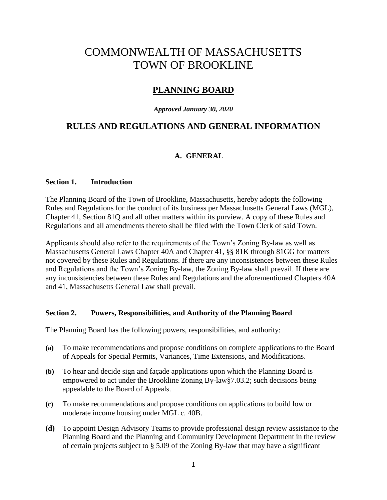# COMMONWEALTH OF MASSACHUSETTS TOWN OF BROOKLINE

# **PLANNING BOARD**

#### *Approved January 30, 2020*

# **RULES AND REGULATIONS AND GENERAL INFORMATION**

## **A. GENERAL**

#### **Section 1. Introduction**

The Planning Board of the Town of Brookline, Massachusetts, hereby adopts the following Rules and Regulations for the conduct of its business per Massachusetts General Laws (MGL), Chapter 41, Section 81Q and all other matters within its purview. A copy of these Rules and Regulations and all amendments thereto shall be filed with the Town Clerk of said Town.

Applicants should also refer to the requirements of the Town's Zoning By-law as well as Massachusetts General Laws Chapter 40A and Chapter 41, §§ 81K through 81GG for matters not covered by these Rules and Regulations. If there are any inconsistences between these Rules and Regulations and the Town's Zoning By-law, the Zoning By-law shall prevail. If there are any inconsistencies between these Rules and Regulations and the aforementioned Chapters 40A and 41, Massachusetts General Law shall prevail.

#### **Section 2. Powers, Responsibilities, and Authority of the Planning Board**

The Planning Board has the following powers, responsibilities, and authority:

- **(a)** To make recommendations and propose conditions on complete applications to the Board of Appeals for Special Permits, Variances, Time Extensions, and Modifications.
- **(b)** To hear and decide sign and façade applications upon which the Planning Board is empowered to act under the Brookline Zoning By-law§7.03.2; such decisions being appealable to the Board of Appeals.
- **(c)** To make recommendations and propose conditions on applications to build low or moderate income housing under MGL c. 40B.
- **(d)** To appoint Design Advisory Teams to provide professional design review assistance to the Planning Board and the Planning and Community Development Department in the review of certain projects subject to § 5.09 of the Zoning By-law that may have a significant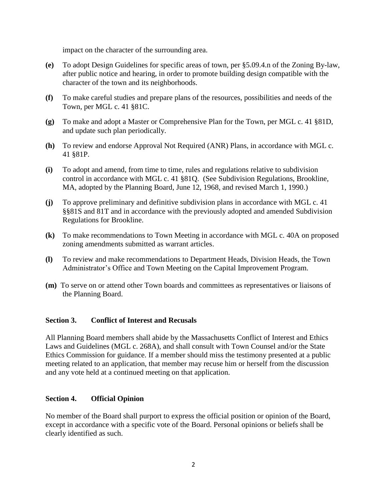impact on the character of the surrounding area.

- **(e)** To adopt Design Guidelines for specific areas of town, per §5.09.4.n of the Zoning By-law, after public notice and hearing, in order to promote building design compatible with the character of the town and its neighborhoods.
- **(f)** To make careful studies and prepare plans of the resources, possibilities and needs of the Town, per MGL c. 41 §81C.
- **(g)** To make and adopt a Master or Comprehensive Plan for the Town, per MGL c. 41 §81D, and update such plan periodically.
- **(h)** To review and endorse Approval Not Required (ANR) Plans, in accordance with MGL c. 41 §81P.
- **(i)** To adopt and amend, from time to time, rules and regulations relative to subdivision control in accordance with MGL c. 41 §81Q. (See Subdivision Regulations, Brookline, MA, adopted by the Planning Board, June 12, 1968, and revised March 1, 1990.)
- **(j)** To approve preliminary and definitive subdivision plans in accordance with MGL c. 41 §§81S and 81T and in accordance with the previously adopted and amended Subdivision Regulations for Brookline.
- **(k)** To make recommendations to Town Meeting in accordance with MGL c. 40A on proposed zoning amendments submitted as warrant articles.
- **(l)** To review and make recommendations to Department Heads, Division Heads, the Town Administrator's Office and Town Meeting on the Capital Improvement Program.
- **(m)** To serve on or attend other Town boards and committees as representatives or liaisons of the Planning Board.

## **Section 3. Conflict of Interest and Recusals**

All Planning Board members shall abide by the Massachusetts Conflict of Interest and Ethics Laws and Guidelines (MGL c. 268A), and shall consult with Town Counsel and/or the State Ethics Commission for guidance. If a member should miss the testimony presented at a public meeting related to an application, that member may recuse him or herself from the discussion and any vote held at a continued meeting on that application.

#### **Section 4. Official Opinion**

No member of the Board shall purport to express the official position or opinion of the Board, except in accordance with a specific vote of the Board. Personal opinions or beliefs shall be clearly identified as such.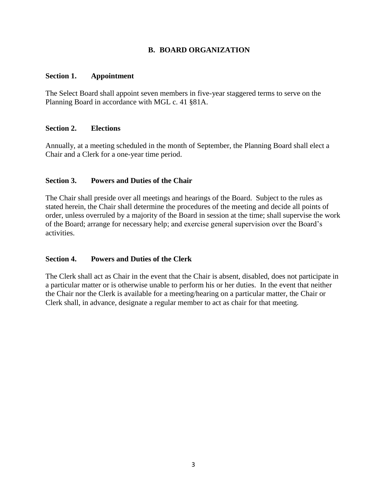## **B. BOARD ORGANIZATION**

#### **Section 1. Appointment**

The Select Board shall appoint seven members in five-year staggered terms to serve on the Planning Board in accordance with MGL c. 41 §81A.

#### **Section 2. Elections**

Annually, at a meeting scheduled in the month of September, the Planning Board shall elect a Chair and a Clerk for a one-year time period.

#### **Section 3. Powers and Duties of the Chair**

The Chair shall preside over all meetings and hearings of the Board. Subject to the rules as stated herein, the Chair shall determine the procedures of the meeting and decide all points of order, unless overruled by a majority of the Board in session at the time; shall supervise the work of the Board; arrange for necessary help; and exercise general supervision over the Board's activities.

## **Section 4. Powers and Duties of the Clerk**

The Clerk shall act as Chair in the event that the Chair is absent, disabled, does not participate in a particular matter or is otherwise unable to perform his or her duties. In the event that neither the Chair nor the Clerk is available for a meeting/hearing on a particular matter, the Chair or Clerk shall, in advance, designate a regular member to act as chair for that meeting.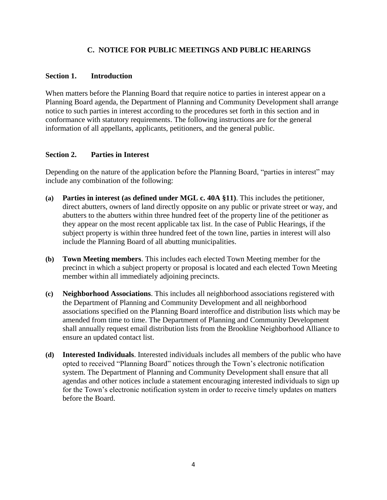## **C. NOTICE FOR PUBLIC MEETINGS AND PUBLIC HEARINGS**

#### **Section 1. Introduction**

When matters before the Planning Board that require notice to parties in interest appear on a Planning Board agenda, the Department of Planning and Community Development shall arrange notice to such parties in interest according to the procedures set forth in this section and in conformance with statutory requirements. The following instructions are for the general information of all appellants, applicants, petitioners, and the general public.

## **Section 2. Parties in Interest**

Depending on the nature of the application before the Planning Board, "parties in interest" may include any combination of the following:

- **(a) Parties in interest (as defined under MGL c. 40A §11)**. This includes the petitioner, direct abutters, owners of land directly opposite on any public or private street or way, and abutters to the abutters within three hundred feet of the property line of the petitioner as they appear on the most recent applicable tax list. In the case of Public Hearings, if the subject property is within three hundred feet of the town line, parties in interest will also include the Planning Board of all abutting municipalities.
- **(b) Town Meeting members**. This includes each elected Town Meeting member for the precinct in which a subject property or proposal is located and each elected Town Meeting member within all immediately adjoining precincts.
- **(c) Neighborhood Associations**. This includes all neighborhood associations registered with the Department of Planning and Community Development and all neighborhood associations specified on the Planning Board interoffice and distribution lists which may be amended from time to time. The Department of Planning and Community Development shall annually request email distribution lists from the Brookline Neighborhood Alliance to ensure an updated contact list.
- **(d) Interested Individuals**. Interested individuals includes all members of the public who have opted to received "Planning Board" notices through the Town's electronic notification system. The Department of Planning and Community Development shall ensure that all agendas and other notices include a statement encouraging interested individuals to sign up for the Town's electronic notification system in order to receive timely updates on matters before the Board.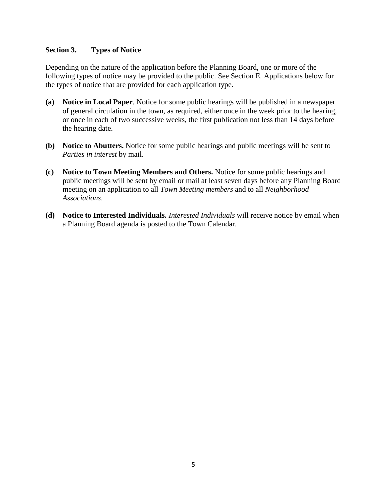#### **Section 3. Types of Notice**

Depending on the nature of the application before the Planning Board, one or more of the following types of notice may be provided to the public. See Section E. Applications below for the types of notice that are provided for each application type.

- **(a) Notice in Local Paper**. Notice for some public hearings will be published in a newspaper of general circulation in the town, as required, either once in the week prior to the hearing, or once in each of two successive weeks, the first publication not less than 14 days before the hearing date.
- **(b) Notice to Abutters.** Notice for some public hearings and public meetings will be sent to *Parties in interest* by mail.
- **(c) Notice to Town Meeting Members and Others.** Notice for some public hearings and public meetings will be sent by email or mail at least seven days before any Planning Board meeting on an application to all *Town Meeting members* and to all *Neighborhood Associations*.
- **(d) Notice to Interested Individuals.** *Interested Individuals* will receive notice by email when a Planning Board agenda is posted to the Town Calendar.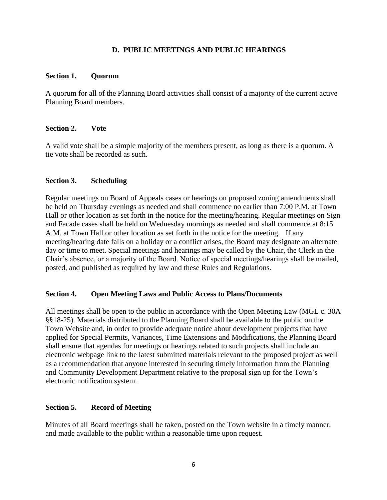#### **D. PUBLIC MEETINGS AND PUBLIC HEARINGS**

#### **Section 1. Quorum**

A quorum for all of the Planning Board activities shall consist of a majority of the current active Planning Board members.

#### **Section 2. Vote**

A valid vote shall be a simple majority of the members present, as long as there is a quorum. A tie vote shall be recorded as such.

#### **Section 3. Scheduling**

Regular meetings on Board of Appeals cases or hearings on proposed zoning amendments shall be held on Thursday evenings as needed and shall commence no earlier than 7:00 P.M. at Town Hall or other location as set forth in the notice for the meeting/hearing. Regular meetings on Sign and Facade cases shall be held on Wednesday mornings as needed and shall commence at 8:15 A.M. at Town Hall or other location as set forth in the notice for the meeting. If any meeting/hearing date falls on a holiday or a conflict arises, the Board may designate an alternate day or time to meet. Special meetings and hearings may be called by the Chair, the Clerk in the Chair's absence, or a majority of the Board. Notice of special meetings/hearings shall be mailed, posted, and published as required by law and these Rules and Regulations.

#### **Section 4. Open Meeting Laws and Public Access to Plans/Documents**

All meetings shall be open to the public in accordance with the Open Meeting Law (MGL c. 30A §§18-25). Materials distributed to the Planning Board shall be available to the public on the Town Website and, in order to provide adequate notice about development projects that have applied for Special Permits, Variances, Time Extensions and Modifications, the Planning Board shall ensure that agendas for meetings or hearings related to such projects shall include an electronic webpage link to the latest submitted materials relevant to the proposed project as well as a recommendation that anyone interested in securing timely information from the Planning and Community Development Department relative to the proposal sign up for the Town's electronic notification system.

#### **Section 5. Record of Meeting**

Minutes of all Board meetings shall be taken, posted on the Town website in a timely manner, and made available to the public within a reasonable time upon request.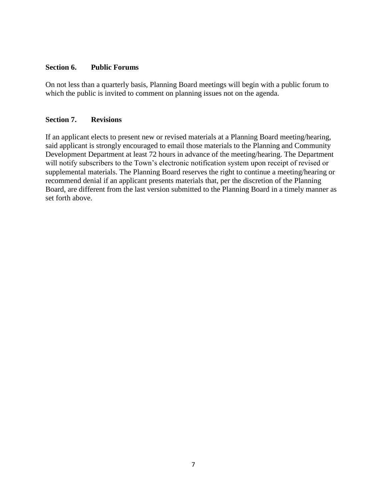#### **Section 6. Public Forums**

On not less than a quarterly basis, Planning Board meetings will begin with a public forum to which the public is invited to comment on planning issues not on the agenda.

#### **Section 7. Revisions**

If an applicant elects to present new or revised materials at a Planning Board meeting/hearing, said applicant is strongly encouraged to email those materials to the Planning and Community Development Department at least 72 hours in advance of the meeting/hearing. The Department will notify subscribers to the Town's electronic notification system upon receipt of revised or supplemental materials. The Planning Board reserves the right to continue a meeting/hearing or recommend denial if an applicant presents materials that, per the discretion of the Planning Board, are different from the last version submitted to the Planning Board in a timely manner as set forth above.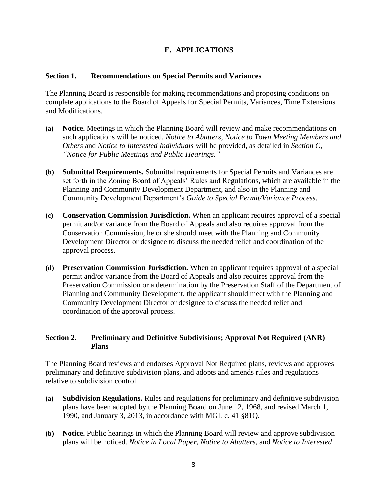## **E. APPLICATIONS**

#### **Section 1. Recommendations on Special Permits and Variances**

The Planning Board is responsible for making recommendations and proposing conditions on complete applications to the Board of Appeals for Special Permits, Variances, Time Extensions and Modifications.

- **(a) Notice.** Meetings in which the Planning Board will review and make recommendations on such applications will be noticed. *Notice to Abutters*, *Notice to Town Meeting Members and Others* and *Notice to Interested Individuals* will be provided, as detailed in *Section C, "Notice for Public Meetings and Public Hearings."*
- **(b) Submittal Requirements.** Submittal requirements for Special Permits and Variances are set forth in the Zoning Board of Appeals' Rules and Regulations, which are available in the Planning and Community Development Department, and also in the Planning and Community Development Department's *Guide to Special Permit/Variance Process*.
- **(c) Conservation Commission Jurisdiction.** When an applicant requires approval of a special permit and/or variance from the Board of Appeals and also requires approval from the Conservation Commission, he or she should meet with the Planning and Community Development Director or designee to discuss the needed relief and coordination of the approval process.
- **(d) Preservation Commission Jurisdiction.** When an applicant requires approval of a special permit and/or variance from the Board of Appeals and also requires approval from the Preservation Commission or a determination by the Preservation Staff of the Department of Planning and Community Development, the applicant should meet with the Planning and Community Development Director or designee to discuss the needed relief and coordination of the approval process.

## **Section 2. Preliminary and Definitive Subdivisions; Approval Not Required (ANR) Plans**

The Planning Board reviews and endorses Approval Not Required plans, reviews and approves preliminary and definitive subdivision plans, and adopts and amends rules and regulations relative to subdivision control.

- **(a) Subdivision Regulations.** Rules and regulations for preliminary and definitive subdivision plans have been adopted by the Planning Board on June 12, 1968, and revised March 1, 1990, and January 3, 2013, in accordance with MGL c. 41 §81Q.
- **(b) Notice.** Public hearings in which the Planning Board will review and approve subdivision plans will be noticed. *Notice in Local Paper*, *Notice to Abutters*, and *Notice to Interested*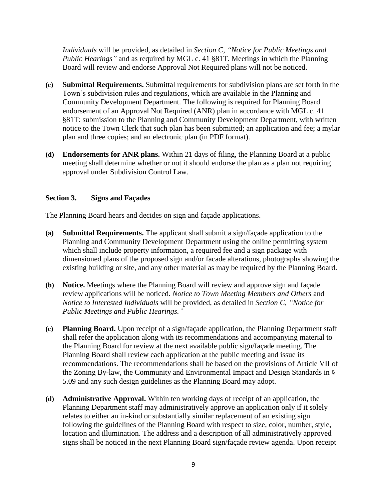*Individuals* will be provided, as detailed in *Section C, "Notice for Public Meetings and Public Hearings"* and as required by MGL c. 41 §81T. Meetings in which the Planning Board will review and endorse Approval Not Required plans will not be noticed.

- **(c) Submittal Requirements.** Submittal requirements for subdivision plans are set forth in the Town's subdivision rules and regulations, which are available in the Planning and Community Development Department. The following is required for Planning Board endorsement of an Approval Not Required (ANR) plan in accordance with MGL c. 41 §81T: submission to the Planning and Community Development Department, with written notice to the Town Clerk that such plan has been submitted; an application and fee; a mylar plan and three copies; and an electronic plan (in PDF format).
- **(d) Endorsements for ANR plans.** Within 21 days of filing, the Planning Board at a public meeting shall determine whether or not it should endorse the plan as a plan not requiring approval under Subdivision Control Law.

#### **Section 3. Signs and Façades**

The Planning Board hears and decides on sign and façade applications.

- **(a) Submittal Requirements.** The applicant shall submit a sign/façade application to the Planning and Community Development Department using the online permitting system which shall include property information, a required fee and a sign package with dimensioned plans of the proposed sign and/or facade alterations, photographs showing the existing building or site, and any other material as may be required by the Planning Board.
- **(b) Notice.** Meetings where the Planning Board will review and approve sign and façade review applications will be noticed. *Notice to Town Meeting Members and Others* and *Notice to Interested Individuals* will be provided, as detailed in *Section C, "Notice for Public Meetings and Public Hearings."*
- **(c) Planning Board.** Upon receipt of a sign/façade application, the Planning Department staff shall refer the application along with its recommendations and accompanying material to the Planning Board for review at the next available public sign/façade meeting. The Planning Board shall review each application at the public meeting and issue its recommendations. The recommendations shall be based on the provisions of Article VII of the Zoning By-law, the Community and Environmental Impact and Design Standards in § 5.09 and any such design guidelines as the Planning Board may adopt.
- **(d) Administrative Approval.** Within ten working days of receipt of an application, the Planning Department staff may administratively approve an application only if it solely relates to either an in-kind or substantially similar replacement of an existing sign following the guidelines of the Planning Board with respect to size, color, number, style, location and illumination. The address and a description of all administratively approved signs shall be noticed in the next Planning Board sign/façade review agenda. Upon receipt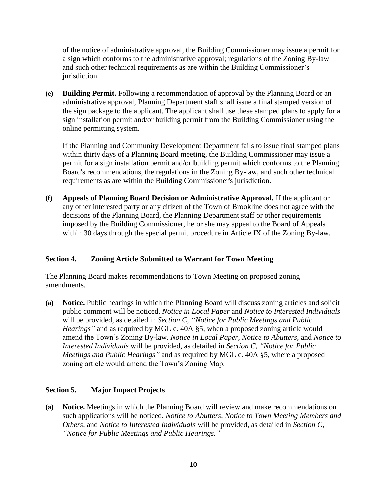of the notice of administrative approval, the Building Commissioner may issue a permit for a sign which conforms to the administrative approval; regulations of the Zoning By-law and such other technical requirements as are within the Building Commissioner's jurisdiction.

**(e) Building Permit.** Following a recommendation of approval by the Planning Board or an administrative approval, Planning Department staff shall issue a final stamped version of the sign package to the applicant. The applicant shall use these stamped plans to apply for a sign installation permit and/or building permit from the Building Commissioner using the online permitting system.

If the Planning and Community Development Department fails to issue final stamped plans within thirty days of a Planning Board meeting, the Building Commissioner may issue a permit for a sign installation permit and/or building permit which conforms to the Planning Board's recommendations, the regulations in the Zoning By-law, and such other technical requirements as are within the Building Commissioner's jurisdiction.

**(f) Appeals of Planning Board Decision or Administrative Approval.** If the applicant or any other interested party or any citizen of the Town of Brookline does not agree with the decisions of the Planning Board, the Planning Department staff or other requirements imposed by the Building Commissioner, he or she may appeal to the Board of Appeals within 30 days through the special permit procedure in Article IX of the Zoning By-law.

## **Section 4. Zoning Article Submitted to Warrant for Town Meeting**

The Planning Board makes recommendations to Town Meeting on proposed zoning amendments.

**(a) Notice.** Public hearings in which the Planning Board will discuss zoning articles and solicit public comment will be noticed. *Notice in Local Paper* and *Notice to Interested Individuals* will be provided, as detailed in *Section C, "Notice for Public Meetings and Public Hearings"* and as required by MGL c. 40A §5, when a proposed zoning article would amend the Town's Zoning By-law. *Notice in Local Paper, Notice to Abutters,* and *Notice to Interested Individuals* will be provided, as detailed in *Section C, "Notice for Public Meetings and Public Hearings"* and as required by MGL c. 40A §5, where a proposed zoning article would amend the Town's Zoning Map.

## **Section 5. Major Impact Projects**

**(a) Notice.** Meetings in which the Planning Board will review and make recommendations on such applications will be noticed. *Notice to Abutters*, *Notice to Town Meeting Members and Others*, and *Notice to Interested Individuals* will be provided, as detailed in *Section C, "Notice for Public Meetings and Public Hearings."*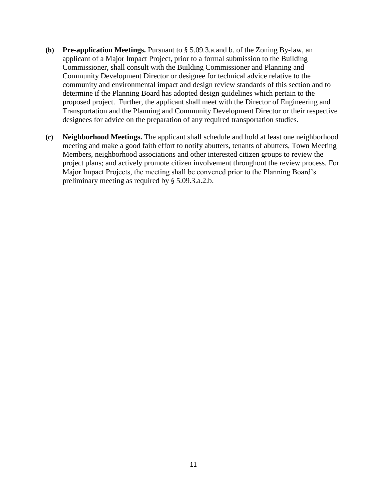- **(b) Pre-application Meetings.** Pursuant to § 5.09.3.a.and b. of the Zoning By-law, an applicant of a Major Impact Project, prior to a formal submission to the Building Commissioner, shall consult with the Building Commissioner and Planning and Community Development Director or designee for technical advice relative to the community and environmental impact and design review standards of this section and to determine if the Planning Board has adopted design guidelines which pertain to the proposed project. Further, the applicant shall meet with the Director of Engineering and Transportation and the Planning and Community Development Director or their respective designees for advice on the preparation of any required transportation studies.
- **(c) Neighborhood Meetings.** The applicant shall schedule and hold at least one neighborhood meeting and make a good faith effort to notify abutters, tenants of abutters, Town Meeting Members, neighborhood associations and other interested citizen groups to review the project plans; and actively promote citizen involvement throughout the review process. For Major Impact Projects, the meeting shall be convened prior to the Planning Board's preliminary meeting as required by § 5.09.3.a.2.b.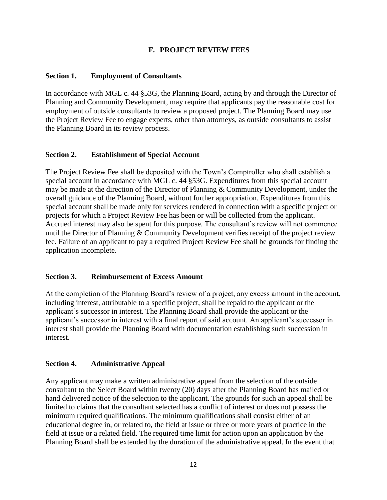## **F. PROJECT REVIEW FEES**

## **Section 1. Employment of Consultants**

In accordance with MGL c. 44 §53G, the Planning Board, acting by and through the Director of Planning and Community Development, may require that applicants pay the reasonable cost for employment of outside consultants to review a proposed project. The Planning Board may use the Project Review Fee to engage experts, other than attorneys, as outside consultants to assist the Planning Board in its review process.

#### **Section 2. Establishment of Special Account**

The Project Review Fee shall be deposited with the Town's Comptroller who shall establish a special account in accordance with MGL c. 44 §53G. Expenditures from this special account may be made at the direction of the Director of Planning & Community Development, under the overall guidance of the Planning Board, without further appropriation. Expenditures from this special account shall be made only for services rendered in connection with a specific project or projects for which a Project Review Fee has been or will be collected from the applicant. Accrued interest may also be spent for this purpose. The consultant's review will not commence until the Director of Planning & Community Development verifies receipt of the project review fee. Failure of an applicant to pay a required Project Review Fee shall be grounds for finding the application incomplete.

#### **Section 3. Reimbursement of Excess Amount**

At the completion of the Planning Board's review of a project, any excess amount in the account, including interest, attributable to a specific project, shall be repaid to the applicant or the applicant's successor in interest. The Planning Board shall provide the applicant or the applicant's successor in interest with a final report of said account. An applicant's successor in interest shall provide the Planning Board with documentation establishing such succession in interest.

## **Section 4. Administrative Appeal**

Any applicant may make a written administrative appeal from the selection of the outside consultant to the Select Board within twenty (20) days after the Planning Board has mailed or hand delivered notice of the selection to the applicant. The grounds for such an appeal shall be limited to claims that the consultant selected has a conflict of interest or does not possess the minimum required qualifications. The minimum qualifications shall consist either of an educational degree in, or related to, the field at issue or three or more years of practice in the field at issue or a related field. The required time limit for action upon an application by the Planning Board shall be extended by the duration of the administrative appeal. In the event that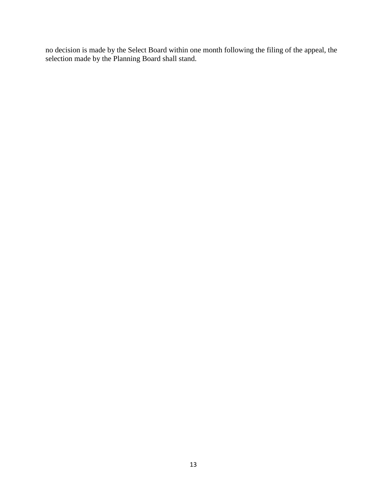no decision is made by the Select Board within one month following the filing of the appeal, the selection made by the Planning Board shall stand.